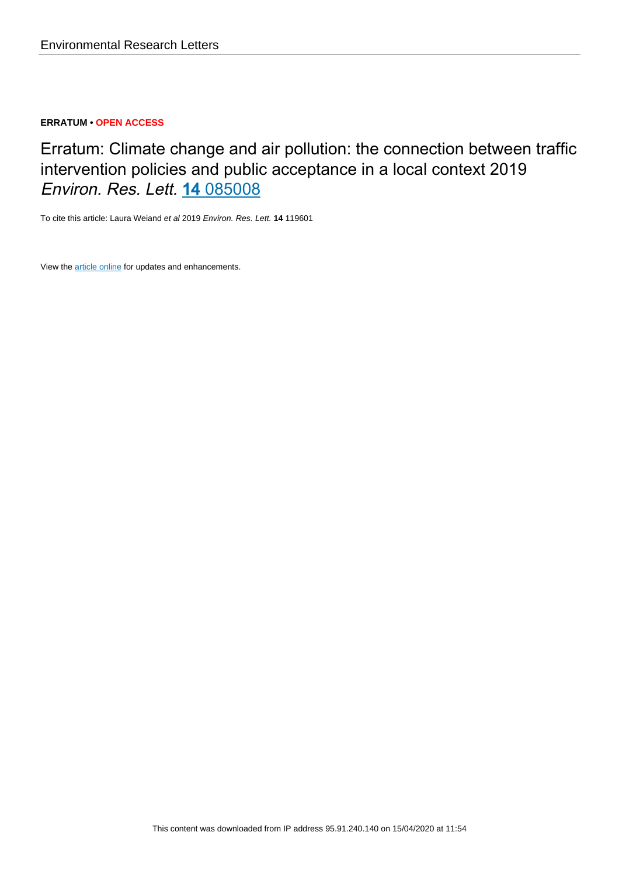### **ERRATUM • OPEN ACCESS**

Erratum: Climate change and air pollution: the connection between traffic intervention policies and public acceptance in a local context 2019 Environ. Res. Lett. 14 [085008](http://doi.org/10.1088/1748-9326/ab299b)

To cite this article: Laura Weiand et al 2019 Environ. Res. Lett. **14** 119601

View the [article online](https://doi.org/10.1088/1748-9326/ab3d81) for updates and enhancements.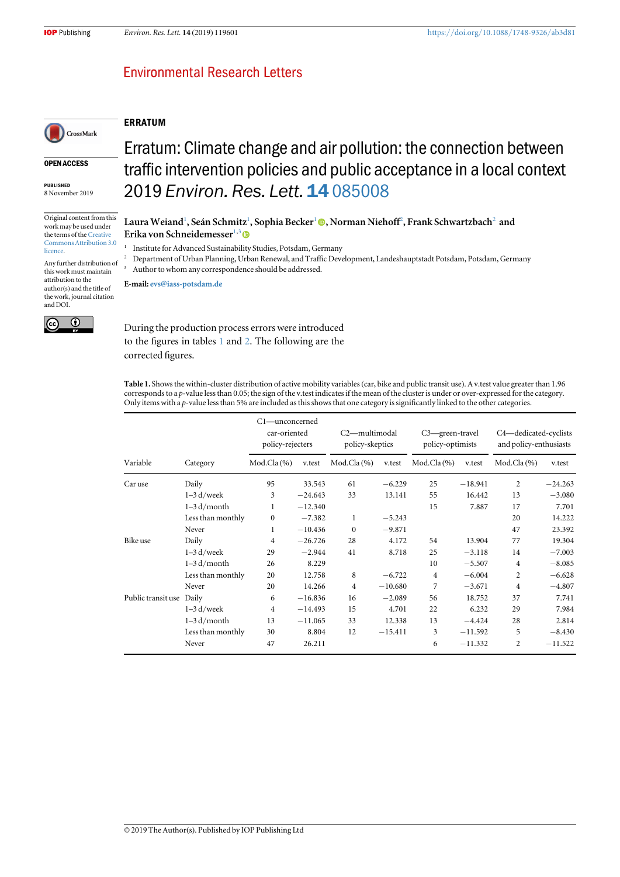ERRATUM

## **Environmental Research Letters**

# CrossMark

#### OPEN ACCESS

PUBLISHED 8 November 2019

Original content from this work may be used under the terms of the [Creative](http://creativecommons.org/licenses/by/3.0) [Commons Attribution 3.0](http://creativecommons.org/licenses/by/3.0) [licence.](http://creativecommons.org/licenses/by/3.0)

Any further distribution of this work must maintain attribution to the author(s) and the title of the work, journal citation and DOI.



## Erratum: Climate change and air pollution: the connection between traffic intervention policies and public acceptance in a local context 2019 Environ. Res. Lett. 14 [085008](http://doi.org/10.1088/1748-9326/ab299b)

Laura Weiand<sup>1</sup>[,](https://orcid.org/0000-0003-3893-5840) Seán Schmitz<sup>1</sup>, Sophia Becker<sup>1</sup> ©, Norman Niehoff<sup>2</sup>, Frank Schwartzbach<sup>2</sup> and Erika von Schneidemesser<sup>1,3</sup>

<sup>1</sup> Institute for Advanced Sustainability Studies, Potsdam, Germany

<sup>2</sup> Department of Urban Planning, Urban Renewal, and Traffic Development, Landeshauptstadt Potsdam, Potsdam, Germany Author to whom any correspondence should be addressed.

E-mail: [evs@iass-potsdam.de](mailto:evs@iass-potsdam.de)

During the production process errors were introduced to the figures in tables 1 and [2.](#page-2-0) The following are the corrected figures.

Table 1. Shows the within-cluster distribution of active mobility variables(car, bike and public transit use). A v.test value greater than 1.96 corresponds to a p-value less than 0.05; the sign of the v.test indicates if the mean of the cluster is under or over-expressed for the category. Only items with a p-value less than 5% are included as this shows that one category is significantly linked to the other categories.

|                          |                   | C1—unconcerned<br>car-oriented<br>policy-rejecters |           | C2-multimodal<br>policy-skeptics |           | C3-green-travel<br>policy-optimists |           | C4-dedicated-cyclists<br>and policy-enthusiasts |           |  |
|--------------------------|-------------------|----------------------------------------------------|-----------|----------------------------------|-----------|-------------------------------------|-----------|-------------------------------------------------|-----------|--|
| Variable                 | Category          | Mod.Cla $(\% )$                                    | v.test    | $Mod.Cla(\%)$                    | v.test    | $Mod.Cla(\% )$                      | v.test    | Mod.Cla $(\% )$                                 | v.test    |  |
| Car use                  | Daily             | 95                                                 | 33.543    | 61                               | $-6.229$  | 25                                  | $-18.941$ | 2                                               | $-24.263$ |  |
|                          | $1-3$ d/week      | 3                                                  | $-24.643$ | 33                               | 13.141    | 55                                  | 16.442    | 13                                              | $-3.080$  |  |
|                          | $1-3 d/month$     | 1                                                  | $-12.340$ |                                  |           | 15                                  | 7.887     | 17                                              | 7.701     |  |
|                          | Less than monthly | $\mathbf{0}$                                       | $-7.382$  | 1                                | $-5.243$  |                                     |           | 20                                              | 14.222    |  |
|                          | Never             | 1                                                  | $-10.436$ | $\mathbf{0}$                     | $-9.871$  |                                     |           | 47                                              | 23.392    |  |
| Bike use                 | Daily             | 4                                                  | $-26.726$ | 28                               | 4.172     | 54                                  | 13.904    | 77                                              | 19.304    |  |
|                          | $1-3$ d/week      | 29                                                 | $-2.944$  | 41                               | 8.718     | 25                                  | $-3.118$  | 14                                              | $-7.003$  |  |
|                          | $1-3 d/m$ onth    | 26                                                 | 8.229     |                                  |           | 10                                  | $-5.507$  | $\overline{4}$                                  | $-8.085$  |  |
|                          | Less than monthly | 20                                                 | 12.758    | 8                                | $-6.722$  | $\overline{4}$                      | $-6.004$  | 2                                               | $-6.628$  |  |
|                          | Never             | 20                                                 | 14.266    | 4                                | $-10.680$ | 7                                   | $-3.671$  | $\overline{4}$                                  | $-4.807$  |  |
| Public transit use Daily |                   | 6                                                  | $-16.836$ | 16                               | $-2.089$  | 56                                  | 18.752    | 37                                              | 7.741     |  |
|                          | $1-3$ d/week      | $\overline{4}$                                     | $-14.493$ | 15                               | 4.701     | 22                                  | 6.232     | 29                                              | 7.984     |  |
|                          | $1-3 d/month$     | 13                                                 | $-11.065$ | 33                               | 12.338    | 13                                  | $-4.424$  | 28                                              | 2.814     |  |
|                          | Less than monthly | 30                                                 | 8.804     | 12                               | $-15.411$ | 3                                   | $-11.592$ | 5                                               | $-8.430$  |  |
|                          | Never             | 47                                                 | 26.211    |                                  |           | 6                                   | $-11.332$ | $\overline{c}$                                  | $-11.522$ |  |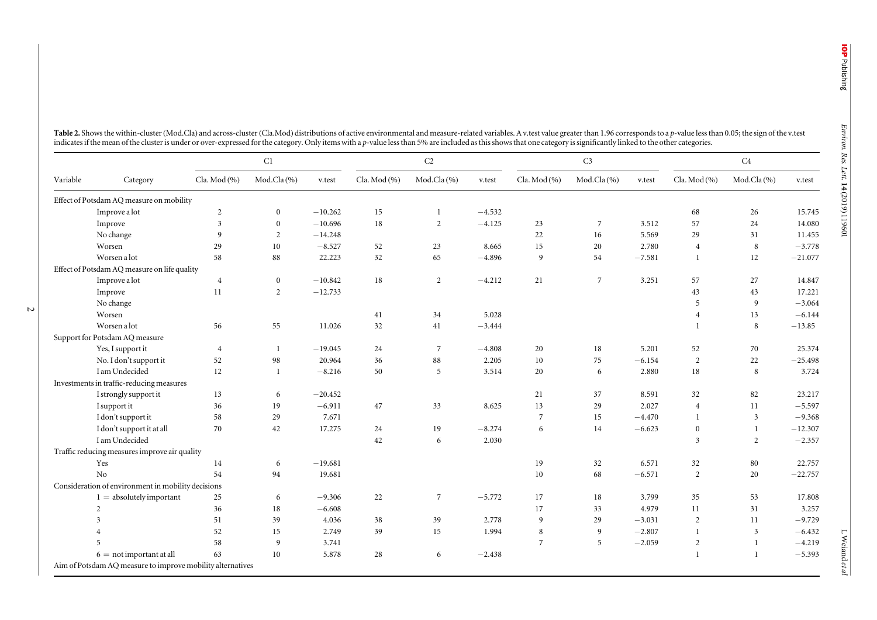14 (2019 ) 119601

|          |                                                            |                | C1             |           |              | $\rm{C2}$      |          |                | C <sub>3</sub> |          |                | C4           |           |  |
|----------|------------------------------------------------------------|----------------|----------------|-----------|--------------|----------------|----------|----------------|----------------|----------|----------------|--------------|-----------|--|
| Variable | Category                                                   | Cla. Mod (%)   | Mod.Cla (%)    | v.test    | Cla. Mod (%) | Mod.Cla(%)     | v.test   | Cla. Mod (%)   | Mod.Cla (%)    | v.test   | Cla. Mod (%)   | Mod.Cla (%)  | v.test    |  |
|          | Effect of Potsdam AQ measure on mobility                   |                |                |           |              |                |          |                |                |          |                |              |           |  |
|          | Improve a lot                                              | $\overline{2}$ | $\mathbf{0}$   | $-10.262$ | 15           | $\mathbf{1}$   | $-4.532$ |                |                |          | 68             | 26           | 15.745    |  |
|          | Improve                                                    | $\mathfrak{Z}$ | $\overline{0}$ | $-10.696$ | 18           | 2              | $-4.125$ | 23             | 7              | 3.512    | 57             | 24           | 14.080    |  |
|          | No change                                                  | 9              | 2              | $-14.248$ |              |                |          | 22             | 16             | 5.569    | 29             | 31           | 11.455    |  |
|          | Worsen                                                     | 29             | 10             | $-8.527$  | 52           | 23             | 8.665    | 15             | 20             | 2.780    | $\overline{4}$ | 8            | $-3.778$  |  |
|          | Worsen a lot                                               | 58             | 88             | 22.223    | 32           | 65             | $-4.896$ | 9              | 54             | $-7.581$ | 1              | 12           | $-21.077$ |  |
|          | Effect of Potsdam AQ measure on life quality               |                |                |           |              |                |          |                |                |          |                |              |           |  |
|          | Improve a lot                                              | $\overline{4}$ | $\mathbf{0}$   | $-10.842$ | 18           | 2              | $-4.212$ | 21             | 7              | 3.251    | 57             | 27           | 14.847    |  |
|          | Improve                                                    | 11             | 2              | $-12.733$ |              |                |          |                |                |          | 43             | 43           | 17.221    |  |
|          | No change                                                  |                |                |           |              |                |          |                |                |          | 5              | 9            | $-3.064$  |  |
|          | Worsen                                                     |                |                |           | 41           | 34             | 5.028    |                |                |          | $\overline{4}$ | 13           | $-6.144$  |  |
|          | Worsen a lot                                               | 56             | 55             | 11.026    | 32           | 41             | $-3.444$ |                |                |          | $\mathbf{1}$   | 8            | $-13.85$  |  |
|          | Support for Potsdam AQ measure                             |                |                |           |              |                |          |                |                |          |                |              |           |  |
|          | Yes, I support it                                          | $\overline{4}$ | <sup>1</sup>   | $-19.045$ | 24           | 7              | $-4.808$ | 20             | 18             | 5.201    | 52             | 70           | 25.374    |  |
|          | No. I don't support it                                     | 52             | 98             | 20.964    | 36           | 88             | 2.205    | 10             | 75             | $-6.154$ | 2              | $22\,$       | $-25.498$ |  |
|          | I am Undecided                                             | 12             | -1             | $-8.216$  | 50           | 5              | 3.514    | 20             | 6              | 2.880    | 18             | 8            | 3.724     |  |
|          | Investments in traffic-reducing measures                   |                |                |           |              |                |          |                |                |          |                |              |           |  |
|          | I strongly support it                                      | 13             | 6              | $-20.452$ |              |                |          | 21             | 37             | 8.591    | 32             | 82           | 23.217    |  |
|          | I support it                                               | 36             | 19             | $-6.911$  | 47           | 33             | 8.625    | 13             | 29             | 2.027    | $\overline{4}$ | 11           | $-5.597$  |  |
|          | I don't support it                                         | 58             | 29             | 7.671     |              |                |          | $\overline{7}$ | 15             | $-4.470$ | $\mathbf{1}$   | 3            | $-9.368$  |  |
|          | I don't support it at all                                  | 70             | 42             | 17.275    | 24           | 19             | $-8.274$ | 6              | 14             | $-6.623$ | $\mathbf{0}$   | $\mathbf{1}$ | $-12.307$ |  |
|          | I am Undecided                                             |                |                |           | 42           | 6              | 2.030    |                |                |          | 3              | 2            | $-2.357$  |  |
|          | Traffic reducing measures improve air quality              |                |                |           |              |                |          |                |                |          |                |              |           |  |
|          | Yes                                                        | 14             | 6              | $-19.681$ |              |                |          | 19             | 32             | 6.571    | 32             | 80           | 22.757    |  |
|          | No                                                         | 54             | 94             | 19.681    |              |                |          | 10             | 68             | $-6.571$ | 2              | 20           | $-22.757$ |  |
|          | Consideration of environment in mobility decisions         |                |                |           |              |                |          |                |                |          |                |              |           |  |
|          | $1 =$ absolutely important                                 | 25             | 6              | $-9.306$  | 22           | $\overline{7}$ | $-5.772$ | 17             | 18             | 3.799    | 35             | 53           | 17.808    |  |
|          | 2                                                          | 36             | 18             | $-6.608$  |              |                |          | 17             | 33             | 4.979    | 11             | 31           | 3.257     |  |
|          | 3                                                          | 51             | 39             | 4.036     | 38           | 39             | 2.778    | 9              | 29             | $-3.031$ | $\overline{2}$ | 11           | $-9.729$  |  |
|          |                                                            | 52             | 15             | 2.749     | 39           | 15             | 1.994    | 8              | 9              | $-2.807$ | $\mathbf{1}$   | 3            | $-6.432$  |  |
|          |                                                            | 58             | 9              | 3.741     |              |                |          | $\overline{7}$ | 5              | $-2.059$ | $\sqrt{2}$     | $\mathbf{1}$ | $-4.219$  |  |
|          | $6 = not important$ at all                                 | 63             | 10             | 5.878     | 28           | 6              | $-2.438$ |                |                |          | $\mathbf{1}$   | $\mathbf{1}$ | $-5.393$  |  |
|          | Aim of Potsdam AQ measure to improve mobility alternatives |                |                |           |              |                |          |                |                |          |                |              |           |  |

<span id="page-2-0"></span>Table 2. Shows the within-cluster (Mod.Cla) and across-cluster (Cla.Mod) distributions of active environmental and measure-related variables. A v.test value greater than 1.96 corresponds to a p-value less than 0.05; the si indicates if the mean of the cluster is under or over-expressed for the category. Only items with a p-value less than 5% are included as this shows that one category is significantly linked to the other categories.

L Weiand et al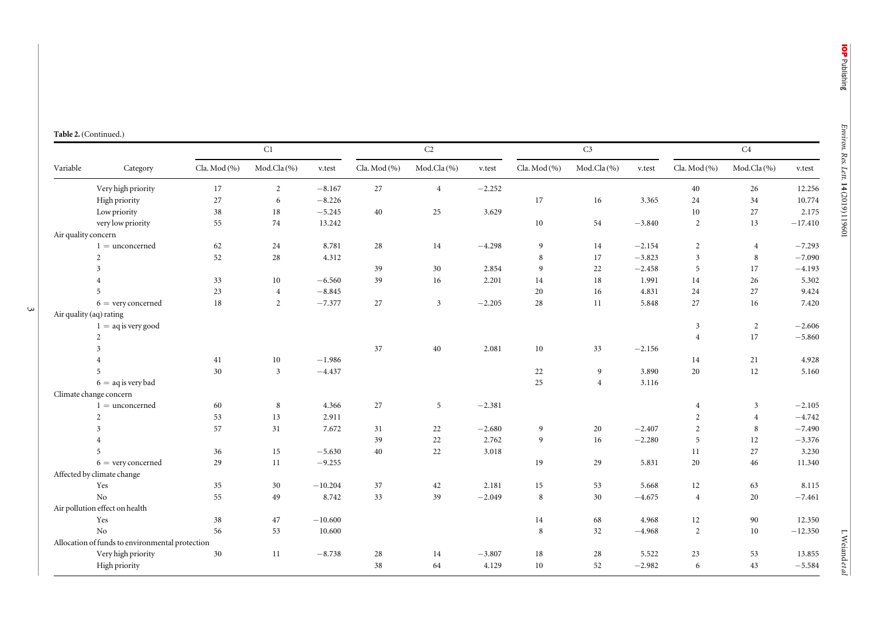L Weiand

et al

|  | Table 2. (Continued.) |
|--|-----------------------|
|--|-----------------------|

| Variable            | Category                                        | $\rm C1$     |                |           | $\rm C2$     |                |          | C <sub>3</sub> |                |          | $\rm C4$       |                |           |
|---------------------|-------------------------------------------------|--------------|----------------|-----------|--------------|----------------|----------|----------------|----------------|----------|----------------|----------------|-----------|
|                     |                                                 | Cla. Mod (%) | Mod.Cla (%)    | v.test    | Cla. Mod (%) | Mod.Cla(%)     | v.test   | Cla. Mod (%)   | Mod.Cla (%)    | v.test   | Cla. Mod (%)   | Mod.Cla (%)    | v.test    |
|                     | Very high priority                              | 17           | $\overline{2}$ | $-8.167$  | $27\,$       | $\overline{4}$ | $-2.252$ |                |                |          | 40             | 26             | 12.256    |
|                     | High priority                                   | 27           | 6              | $-8.226$  |              |                |          | 17             | 16             | 3.365    | 24             | 34             | 10.774    |
|                     | Low priority                                    | $38\,$       | 18             | $-5.245$  | 40           | 25             | 3.629    |                |                |          | 10             | 27             | 2.175     |
|                     | very low priority                               | 55           | 74             | 13.242    |              |                |          | $10\,$         | 54             | $-3.840$ | $\overline{2}$ | 13             | $-17.410$ |
| Air quality concern |                                                 |              |                |           |              |                |          |                |                |          |                |                |           |
|                     | $1 =$ unconcerned                               | 62           | 24             | 8.781     | 28           | 14             | $-4.298$ | 9              | 14             | $-2.154$ | $\overline{2}$ | $\overline{4}$ | $-7.293$  |
|                     | $\overline{c}$                                  | 52           | 28             | 4.312     |              |                |          | 8              | 17             | $-3.823$ | 3              | 8              | $-7.090$  |
|                     | 3                                               |              |                |           | 39           | 30             | 2.854    | 9              | 22             | $-2.458$ | 5              | 17             | $-4.193$  |
|                     | $\overline{4}$                                  | 33           | 10             | $-6.560$  | 39           | 16             | 2.201    | 14             | 18             | 1.991    | 14             | 26             | 5.302     |
|                     | 5                                               | $23\,$       | $\overline{4}$ | $-8.845$  |              |                |          | 20             | 16             | 4.831    | 24             | 27             | 9.424     |
|                     | $6 =$ very concerned                            | 18           | $\overline{2}$ | $-7.377$  | 27           | $\mathbf{3}$   | $-2.205$ | 28             | 11             | 5.848    | 27             | 16             | 7.420     |
|                     | Air quality (aq) rating                         |              |                |           |              |                |          |                |                |          |                |                |           |
|                     | $1 = aq$ is very good                           |              |                |           |              |                |          |                |                |          | 3              | $\overline{2}$ | $-2.606$  |
|                     | $\overline{2}$                                  |              |                |           |              |                |          |                |                |          | $\overline{4}$ | 17             | $-5.860$  |
|                     | 3                                               |              |                |           | 37           | 40             | 2.081    | 10             | 33             | $-2.156$ |                |                |           |
|                     | $\overline{4}$                                  | 41           | 10             | $-1.986$  |              |                |          |                |                |          | 14             | 21             | 4.928     |
|                     | 5                                               | $30\,$       | $\mathfrak{Z}$ | $-4.437$  |              |                |          | 22             | 9              | 3.890    | 20             | 12             | 5.160     |
|                     | $6 = aq$ is very bad                            |              |                |           |              |                |          | 25             | $\overline{4}$ | 3.116    |                |                |           |
|                     | Climate change concern                          |              |                |           |              |                |          |                |                |          |                |                |           |
|                     | $1 =$ unconcerned                               | 60           | 8              | 4.366     | 27           | $\overline{5}$ | $-2.381$ |                |                |          | $\overline{4}$ | 3              | $-2.105$  |
|                     | $\overline{2}$                                  | 53           | 13             | 2.911     |              |                |          |                |                |          | 2              | $\overline{4}$ | $-4.742$  |
|                     | $\mathfrak{Z}$                                  | 57           | 31             | 7.672     | 31           | 22             | $-2.680$ | 9              | 20             | $-2.407$ | $\overline{2}$ | 8              | $-7.490$  |
|                     | $\overline{4}$                                  |              |                |           | 39           | $22\,$         | 2.762    | 9              | 16             | $-2.280$ | 5              | 12             | $-3.376$  |
|                     | 5                                               | 36           | 15             | $-5.630$  | 40           | 22             | 3.018    |                |                |          | 11             | 27             | 3.230     |
|                     | $6 =$ very concerned                            | 29           | 11             | $-9.255$  |              |                |          | 19             | 29             | 5.831    | 20             | 46             | 11.340    |
|                     | Affected by climate change                      |              |                |           |              |                |          |                |                |          |                |                |           |
|                     | Yes                                             | 35           | 30             | $-10.204$ | 37           | 42             | 2.181    | 15             | 53             | 5.668    | 12             | 63             | 8.115     |
|                     | No                                              | 55           | 49             | 8.742     | 33           | 39             | $-2.049$ | 8              | 30             | $-4.675$ | $\overline{4}$ | 20             | $-7.461$  |
|                     | Air pollution effect on health                  |              |                |           |              |                |          |                |                |          |                |                |           |
|                     | Yes                                             | 38           | 47             | $-10.600$ |              |                |          | 14             | 68             | 4.968    | 12             | 90             | 12.350    |
|                     | No                                              | 56           | 53             | 10.600    |              |                |          | 8              | 32             | $-4.968$ | 2              | 10             | $-12.350$ |
|                     | Allocation of funds to environmental protection |              |                |           |              |                |          |                |                |          |                |                |           |
|                     | Very high priority                              | 30           | 11             | $-8.738$  | 28           | 14             | $-3.807$ | 18             | 28             | 5.522    | 23             | 53             | 13.855    |
|                     | High priority                                   |              |                |           | 38           | 64             | 4.129    | 10             | 52             | $-2.982$ | 6              | 43             | $-5.584$  |

 $\mathbf{\hat{z}}$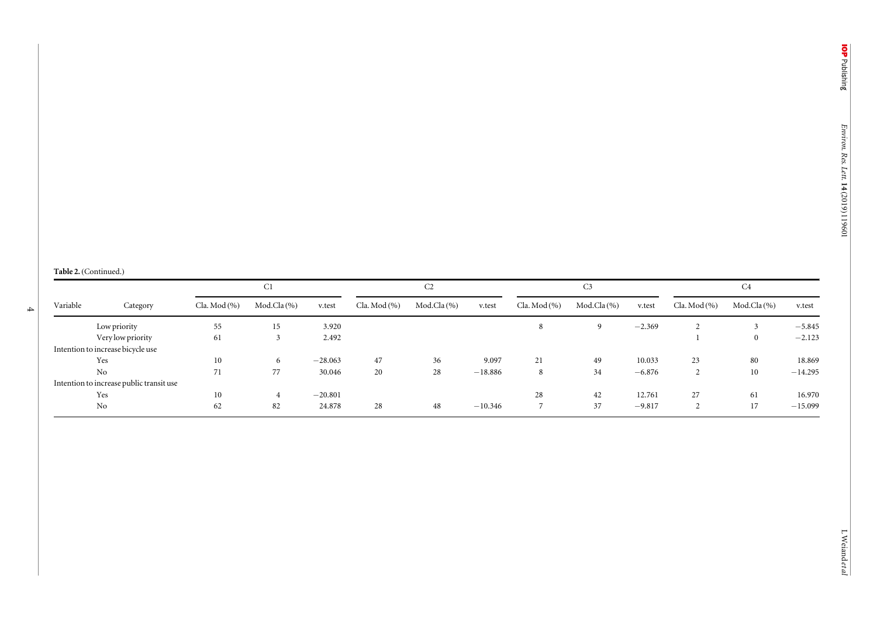#### Table 2. (Continued.)

4

|          | Category                                 | C <sub>1</sub> |               |           | C2           |                |           | C <sub>3</sub>   |                 |          | C <sub>4</sub> |                |           |
|----------|------------------------------------------|----------------|---------------|-----------|--------------|----------------|-----------|------------------|-----------------|----------|----------------|----------------|-----------|
| Variable |                                          | Cla. Mod (%)   | $Mod.Cla(\%)$ | v.test    | Cla. Mod (%) | $Mod.Cla(\% )$ | v.test    | Cla. Mod $(\% )$ | Mod.Cla $(\% )$ | v.test   | Cla. Mod (%)   | $Mod.Cla(\% )$ | v.test    |
|          | Low priority                             | 55             | 15            | 3.920     |              |                |           |                  | $\mathbf{Q}$    | $-2.369$ |                |                | $-5.845$  |
|          | Very low priority                        | 61             |               | 2.492     |              |                |           |                  |                 |          |                |                | $-2.123$  |
|          | Intention to increase bicycle use        |                |               |           |              |                |           |                  |                 |          |                |                |           |
|          | Yes                                      | 10             | 6             | $-28.063$ | 47           | 36             | 9.097     | 21               | 49              | 10.033   | 23             | 80             | 18.869    |
|          | N <sub>o</sub>                           | 71             | 77            | 30.046    | 20           | 28             | $-18.886$ | 8                | 34              | $-6.876$ |                | 10             | $-14.295$ |
|          | Intention to increase public transit use |                |               |           |              |                |           |                  |                 |          |                |                |           |
|          | Yes                                      | 10             |               | $-20.801$ |              |                |           | 28               | 42              | 12.761   | 27             | 61             | 16.970    |
|          | No                                       | 62             | 82            | 24.878    | 28           | 48             | $-10.346$ |                  | 37              | $-9.817$ |                | 17             | $-15.099$ |